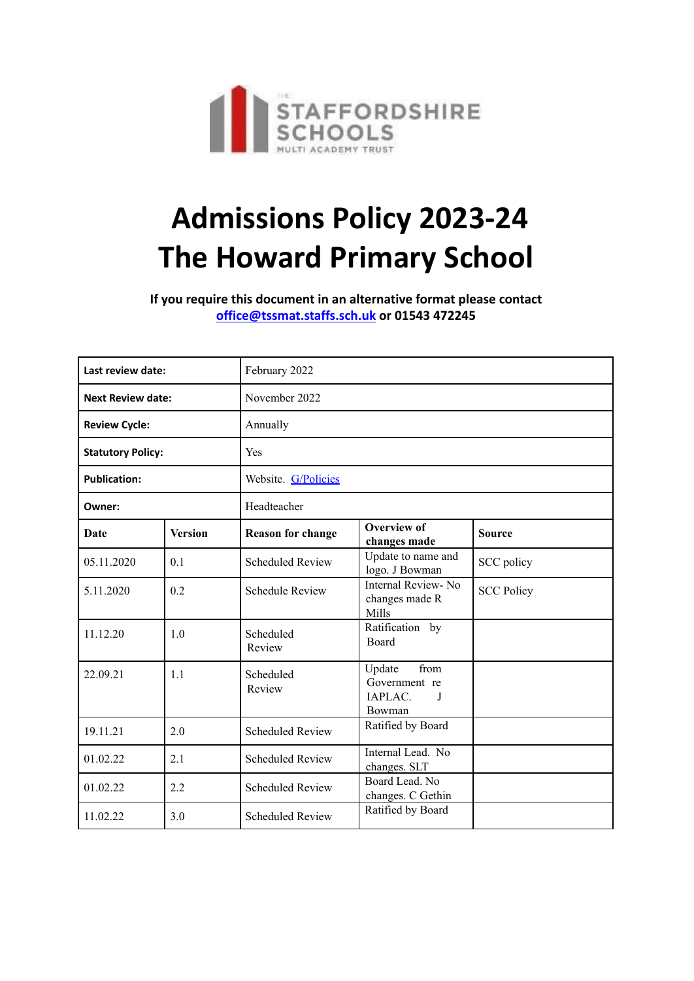

# **Admissions Policy 2023-24 The Howard Primary School**

**If you require this document in an alternative format please contact office@tssmat.staffs.sch.uk or 01543 472245**

| Last review date:        |                | February 2022            |                                                                      |                   |
|--------------------------|----------------|--------------------------|----------------------------------------------------------------------|-------------------|
| <b>Next Review date:</b> |                | November 2022            |                                                                      |                   |
| <b>Review Cycle:</b>     |                | Annually                 |                                                                      |                   |
| <b>Statutory Policy:</b> |                | Yes                      |                                                                      |                   |
| <b>Publication:</b>      |                | Website. G/Policies      |                                                                      |                   |
| Owner:                   |                | Headteacher              |                                                                      |                   |
| Date                     | <b>Version</b> | <b>Reason for change</b> | <b>Overview of</b><br>changes made                                   | <b>Source</b>     |
| 05.11.2020               | 0.1            | <b>Scheduled Review</b>  | Update to name and<br>logo. J Bowman                                 | SCC policy        |
| 5.11.2020                | 0 <sub>2</sub> | <b>Schedule Review</b>   | Internal Review-No<br>changes made R<br>Mills                        | <b>SCC Policy</b> |
| 11.12.20                 | 1.0            | Scheduled<br>Review      | Ratification by<br>Board                                             |                   |
| 22.09.21                 | 1.1            | Scheduled<br>Review      | from<br>Update<br>Government re<br>IAPLAC.<br>$\mathbf{J}$<br>Bowman |                   |
| 19.11.21                 | 2.0            | <b>Scheduled Review</b>  | Ratified by Board                                                    |                   |
| 01.02.22                 | 2.1            | <b>Scheduled Review</b>  | Internal Lead. No<br>changes. SLT                                    |                   |
| 01.02.22                 | 2.2            | <b>Scheduled Review</b>  | Board Lead. No<br>changes. C Gethin                                  |                   |
| 11.02.22                 | 3.0            | <b>Scheduled Review</b>  | Ratified by Board                                                    |                   |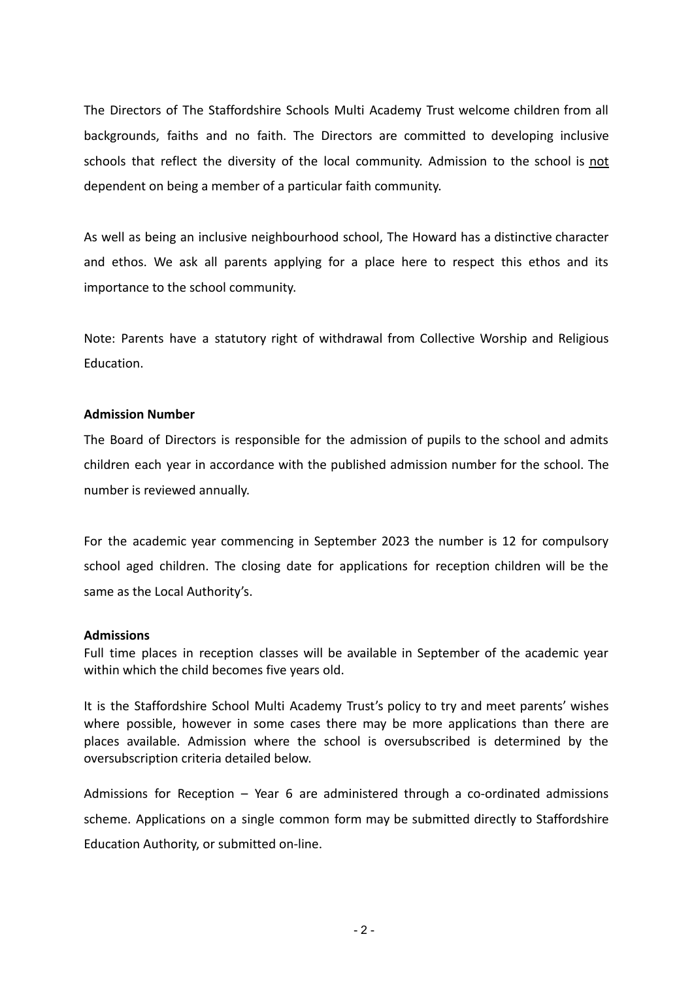The Directors of The Staffordshire Schools Multi Academy Trust welcome children from all backgrounds, faiths and no faith. The Directors are committed to developing inclusive schools that reflect the diversity of the local community. Admission to the school is not dependent on being a member of a particular faith community.

As well as being an inclusive neighbourhood school, The Howard has a distinctive character and ethos. We ask all parents applying for a place here to respect this ethos and its importance to the school community.

Note: Parents have a statutory right of withdrawal from Collective Worship and Religious Education.

#### **Admission Number**

The Board of Directors is responsible for the admission of pupils to the school and admits children each year in accordance with the published admission number for the school. The number is reviewed annually.

For the academic year commencing in September 2023 the number is 12 for compulsory school aged children. The closing date for applications for reception children will be the same as the Local Authority's.

#### **Admissions**

Full time places in reception classes will be available in September of the academic year within which the child becomes five years old.

It is the Staffordshire School Multi Academy Trust's policy to try and meet parents' wishes where possible, however in some cases there may be more applications than there are places available. Admission where the school is oversubscribed is determined by the oversubscription criteria detailed below.

Admissions for Reception – Year 6 are administered through a co-ordinated admissions scheme. Applications on a single common form may be submitted directly to Staffordshire Education Authority, or submitted on-line.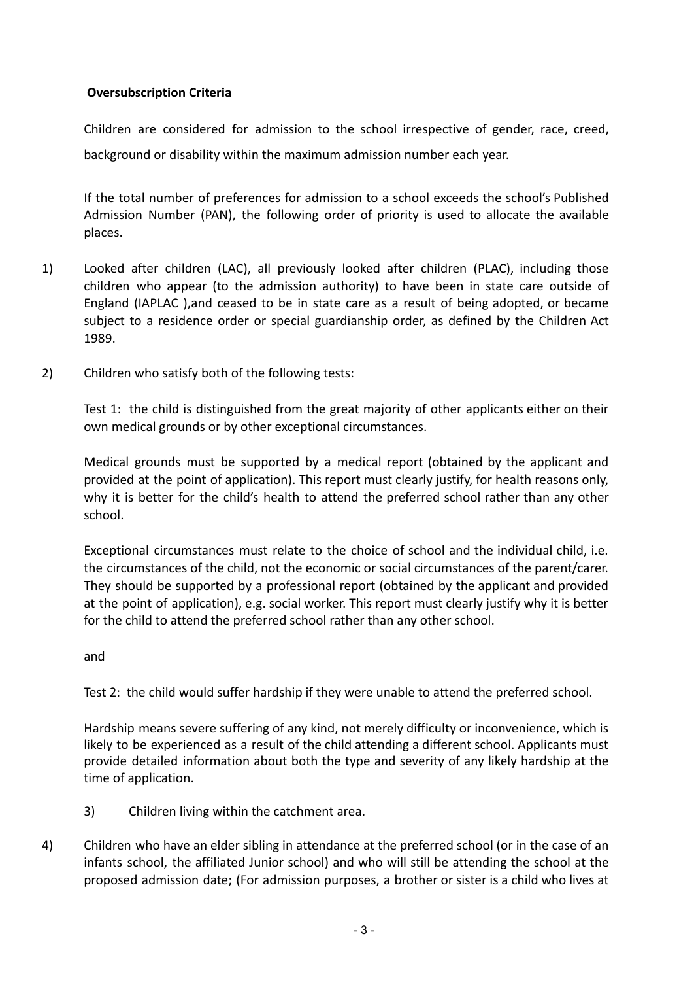# **Oversubscription Criteria**

Children are considered for admission to the school irrespective of gender, race, creed, background or disability within the maximum admission number each year.

If the total number of preferences for admission to a school exceeds the school's Published Admission Number (PAN), the following order of priority is used to allocate the available places.

- 1) Looked after children (LAC), all previously looked after children (PLAC), including those children who appear (to the admission authority) to have been in state care outside of England (IAPLAC ),and ceased to be in state care as a result of being adopted, or became subject to a residence order or special guardianship order, as defined by the Children Act 1989.
- 2) Children who satisfy both of the following tests:

Test 1: the child is distinguished from the great majority of other applicants either on their own medical grounds or by other exceptional circumstances.

Medical grounds must be supported by a medical report (obtained by the applicant and provided at the point of application). This report must clearly justify, for health reasons only, why it is better for the child's health to attend the preferred school rather than any other school.

Exceptional circumstances must relate to the choice of school and the individual child, i.e. the circumstances of the child, not the economic or social circumstances of the parent/carer. They should be supported by a professional report (obtained by the applicant and provided at the point of application), e.g. social worker. This report must clearly justify why it is better for the child to attend the preferred school rather than any other school.

and

Test 2: the child would suffer hardship if they were unable to attend the preferred school.

Hardship means severe suffering of any kind, not merely difficulty or inconvenience, which is likely to be experienced as a result of the child attending a different school. Applicants must provide detailed information about both the type and severity of any likely hardship at the time of application.

- 3) Children living within the catchment area.
- 4) Children who have an elder sibling in attendance at the preferred school (or in the case of an infants school, the affiliated Junior school) and who will still be attending the school at the proposed admission date; (For admission purposes, a brother or sister is a child who lives at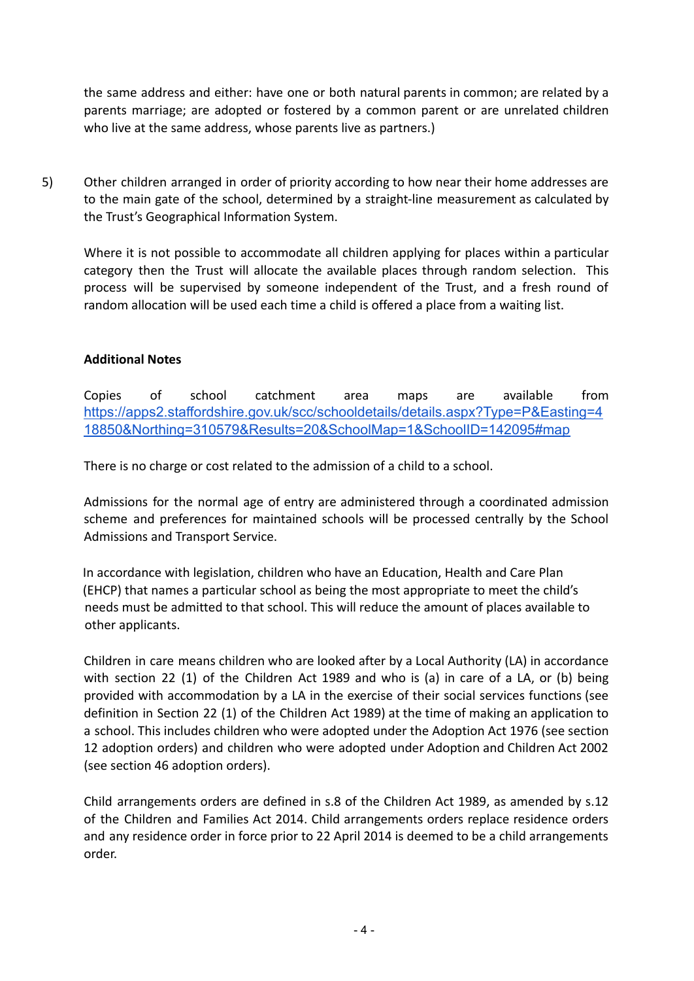the same address and either: have one or both natural parents in common; are related by a parents marriage; are adopted or fostered by a common parent or are unrelated children who live at the same address, whose parents live as partners.)

5) Other children arranged in order of priority according to how near their home addresses are to the main gate of the school, determined by a straight-line measurement as calculated by the Trust's Geographical Information System.

Where it is not possible to accommodate all children applying for places within a particular category then the Trust will allocate the available places through random selection. This process will be supervised by someone independent of the Trust, and a fresh round of random allocation will be used each time a child is offered a place from a waiting list.

# **Additional Notes**

Copies of school catchment area maps are available from https://apps2.staffordshire.gov.uk/scc/schooldetails/details.aspx?Type=P&Easting=4 18850&Northing=310579&Results=20&SchoolMap=1&SchoolID=142095#map

There is no charge or cost related to the admission of a child to a school.

Admissions for the normal age of entry are administered through a coordinated admission scheme and preferences for maintained schools will be processed centrally by the School Admissions and Transport Service.

In accordance with legislation, children who have an Education, Health and Care Plan (EHCP) that names a particular school as being the most appropriate to meet the child's needs must be admitted to that school. This will reduce the amount of places available to other applicants.

Children in care means children who are looked after by a Local Authority (LA) in accordance with section 22 (1) of the Children Act 1989 and who is (a) in care of a LA, or (b) being provided with accommodation by a LA in the exercise of their social services functions (see definition in Section 22 (1) of the Children Act 1989) at the time of making an application to a school. This includes children who were adopted under the Adoption Act 1976 (see section 12 adoption orders) and children who were adopted under Adoption and Children Act 2002 (see section 46 adoption orders).

Child arrangements orders are defined in s.8 of the Children Act 1989, as amended by s.12 of the Children and Families Act 2014. Child arrangements orders replace residence orders and any residence order in force prior to 22 April 2014 is deemed to be a child arrangements order.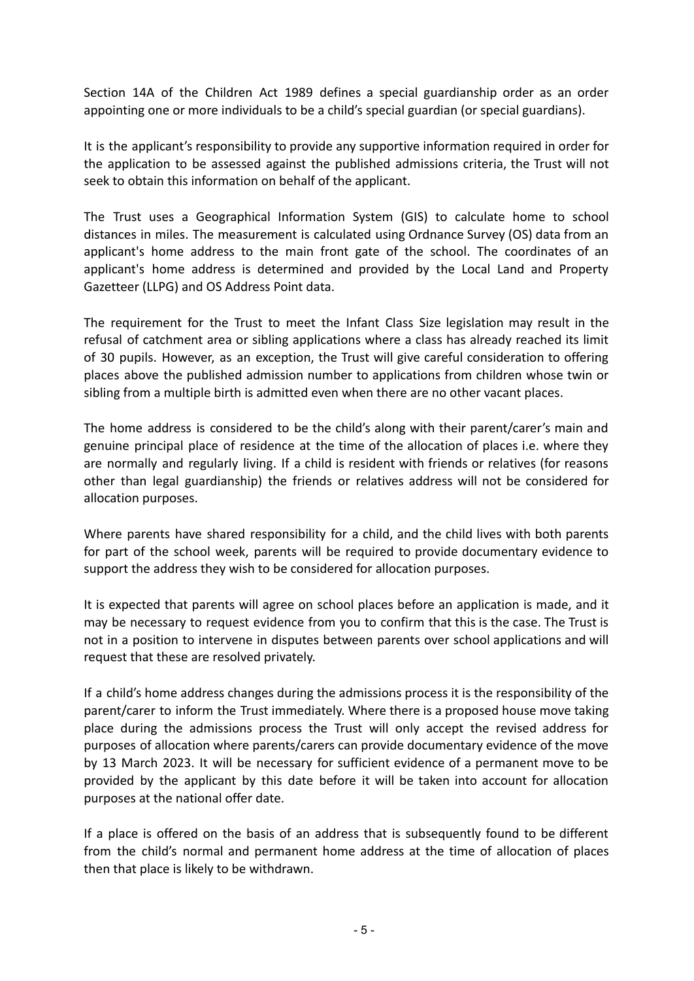Section 14A of the Children Act 1989 defines a special guardianship order as an order appointing one or more individuals to be a child's special guardian (or special guardians).

It is the applicant's responsibility to provide any supportive information required in order for the application to be assessed against the published admissions criteria, the Trust will not seek to obtain this information on behalf of the applicant.

The Trust uses a Geographical Information System (GIS) to calculate home to school distances in miles. The measurement is calculated using Ordnance Survey (OS) data from an applicant's home address to the main front gate of the school. The coordinates of an applicant's home address is determined and provided by the Local Land and Property Gazetteer (LLPG) and OS Address Point data.

The requirement for the Trust to meet the Infant Class Size legislation may result in the refusal of catchment area or sibling applications where a class has already reached its limit of 30 pupils. However, as an exception, the Trust will give careful consideration to offering places above the published admission number to applications from children whose twin or sibling from a multiple birth is admitted even when there are no other vacant places.

The home address is considered to be the child's along with their parent/carer's main and genuine principal place of residence at the time of the allocation of places i.e. where they are normally and regularly living. If a child is resident with friends or relatives (for reasons other than legal guardianship) the friends or relatives address will not be considered for allocation purposes.

Where parents have shared responsibility for a child, and the child lives with both parents for part of the school week, parents will be required to provide documentary evidence to support the address they wish to be considered for allocation purposes.

It is expected that parents will agree on school places before an application is made, and it may be necessary to request evidence from you to confirm that this is the case. The Trust is not in a position to intervene in disputes between parents over school applications and will request that these are resolved privately.

If a child's home address changes during the admissions process it is the responsibility of the parent/carer to inform the Trust immediately. Where there is a proposed house move taking place during the admissions process the Trust will only accept the revised address for purposes of allocation where parents/carers can provide documentary evidence of the move by 13 March 2023. It will be necessary for sufficient evidence of a permanent move to be provided by the applicant by this date before it will be taken into account for allocation purposes at the national offer date.

If a place is offered on the basis of an address that is subsequently found to be different from the child's normal and permanent home address at the time of allocation of places then that place is likely to be withdrawn.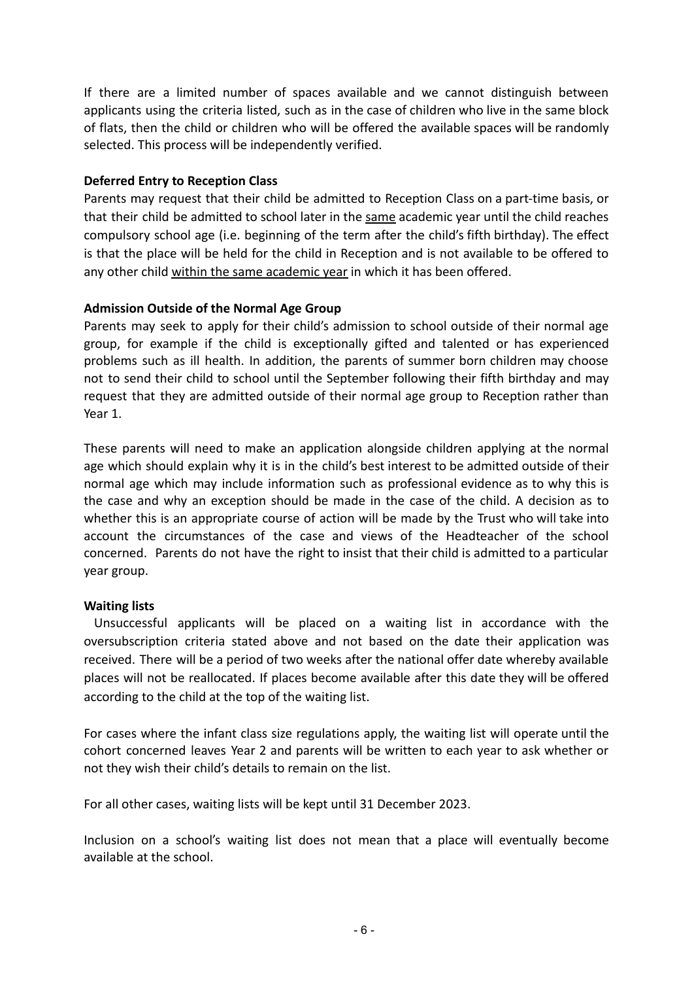If there are a limited number of spaces available and we cannot distinguish between applicants using the criteria listed, such as in the case of children who live in the same block of flats, then the child or children who will be offered the available spaces will be randomly selected. This process will be independently verified.

# **Deferred Entry to Reception Class**

Parents may request that their child be admitted to Reception Class on a part-time basis, or that their child be admitted to school later in the same academic year until the child reaches compulsory school age (i.e. beginning of the term after the child's fifth birthday). The effect is that the place will be held for the child in Reception and is not available to be offered to any other child within the same academic year in which it has been offered.

## **Admission Outside of the Normal Age Group**

Parents may seek to apply for their child's admission to school outside of their normal age group, for example if the child is exceptionally gifted and talented or has experienced problems such as ill health. In addition, the parents of summer born children may choose not to send their child to school until the September following their fifth birthday and may request that they are admitted outside of their normal age group to Reception rather than Year 1.

These parents will need to make an application alongside children applying at the normal age which should explain why it is in the child's best interest to be admitted outside of their normal age which may include information such as professional evidence as to why this is the case and why an exception should be made in the case of the child. A decision as to whether this is an appropriate course of action will be made by the Trust who will take into account the circumstances of the case and views of the Headteacher of the school concerned. Parents do not have the right to insist that their child is admitted to a particular year group.

#### **Waiting lists**

Unsuccessful applicants will be placed on a waiting list in accordance with the oversubscription criteria stated above and not based on the date their application was received. There will be a period of two weeks after the national offer date whereby available places will not be reallocated. If places become available after this date they will be offered according to the child at the top of the waiting list.

For cases where the infant class size regulations apply, the waiting list will operate until the cohort concerned leaves Year 2 and parents will be written to each year to ask whether or not they wish their child's details to remain on the list.

For all other cases, waiting lists will be kept until 31 December 2023.

Inclusion on a school's waiting list does not mean that a place will eventually become available at the school.